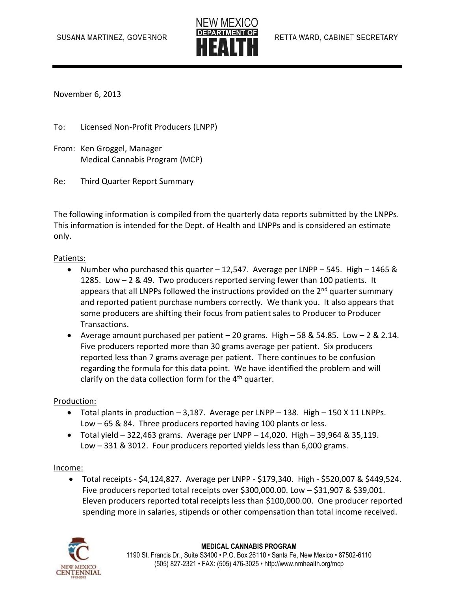

November 6, 2013

To: Licensed Non-Profit Producers (LNPP)

- From: Ken Groggel, Manager Medical Cannabis Program (MCP)
- Re: Third Quarter Report Summary

The following information is compiled from the quarterly data reports submitted by the LNPPs. This information is intended for the Dept. of Health and LNPPs and is considered an estimate only.

### Patients:

- Number who purchased this quarter 12,547. Average per LNPP 545. High 1465 & 1285. Low – 2 & 49. Two producers reported serving fewer than 100 patients. It appears that all LNPPs followed the instructions provided on the  $2^{nd}$  quarter summary and reported patient purchase numbers correctly. We thank you. It also appears that some producers are shifting their focus from patient sales to Producer to Producer Transactions.
- Average amount purchased per patient  $-20$  grams. High  $-58$  & 54.85. Low  $-2$  & 2.14. Five producers reported more than 30 grams average per patient. Six producers reported less than 7 grams average per patient. There continues to be confusion regarding the formula for this data point. We have identified the problem and will clarify on the data collection form for the  $4<sup>th</sup>$  quarter.

#### Production:

- $\bullet$  Total plants in production  $-3,187$ . Average per LNPP  $-138$ . High  $-150$  X 11 LNPPs. Low – 65 & 84. Three producers reported having 100 plants or less.
- $\bullet$  Total yield 322,463 grams. Average per LNPP 14,020. High 39,964 & 35,119. Low – 331 & 3012. Four producers reported yields less than 6,000 grams.

#### Income:

 Total receipts - \$4,124,827. Average per LNPP - \$179,340. High - \$520,007 & \$449,524. Five producers reported total receipts over \$300,000.00. Low – \$31,907 & \$39,001. Eleven producers reported total receipts less than \$100,000.00. One producer reported spending more in salaries, stipends or other compensation than total income received.